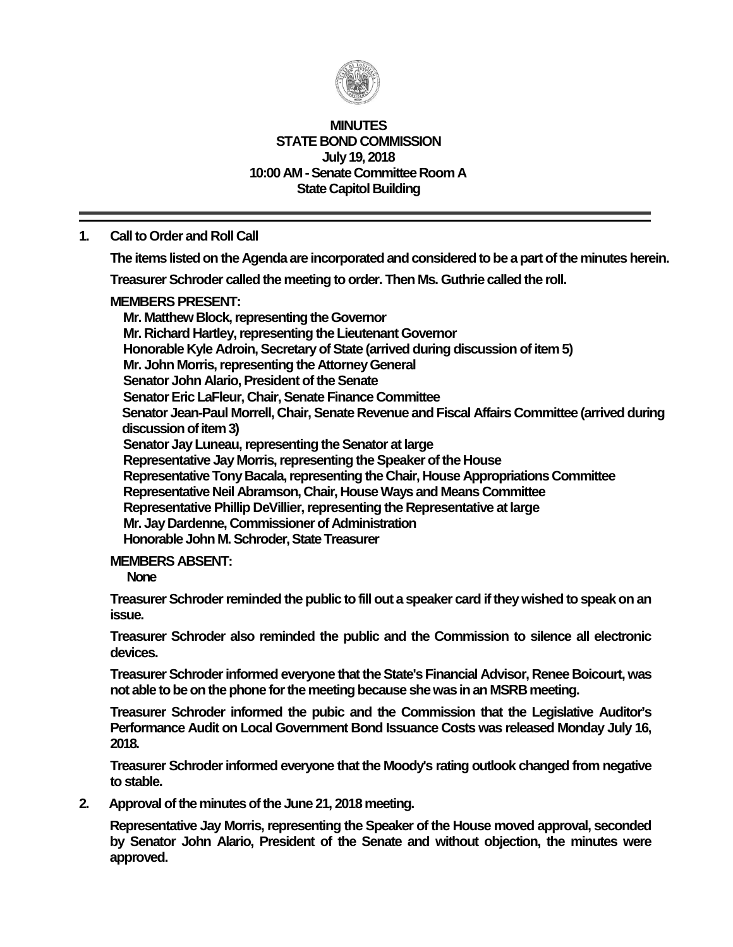

### **MINUTES STATE BOND COMMISSION July 19, 2018 10:00 AM - Senate Committee Room A State Capitol Building**

## **1. Call to Order and Roll Call**

**The items listed on the Agenda are incorporated and considered to be a part of the minutesherein.**

**Treasurer Schroder called the meeting to order. Then Ms. Guthrie called the roll.**

### **MEMBERS PRESENT:**

**Mr. Matthew Block, representing the Governor Mr. Richard Hartley, representing the Lieutenant Governor Honorable Kyle Adroin, Secretary of State (arrived during discussion of item 5) Mr. John Morris, representing the Attorney General Senator John Alario, President of the Senate Senator Eric LaFleur, Chair, Senate Finance Committee Senator Jean-Paul Morrell, Chair, Senate Revenue and Fiscal Affairs Committee (arrived during discussion of item 3) Senator Jay Luneau, representing the Senator at large Representative Jay Morris, representing the Speaker of the House Representative Tony Bacala, representing the Chair, House Appropriations Committee Representative Neil Abramson, Chair, House Ways and Means Committee Representative Phillip DeVillier, representing the Representative at large Mr. Jay Dardenne, Commissioner of Administration Honorable John M. Schroder, State Treasurer**

### **MEMBERS ABSENT:**

**None**

**Treasurer Schroder reminded the public to fill out a speaker card if they wished to speak on an issue.**

**Treasurer Schroder also reminded the public and the Commission to silence all electronic devices.**

**Treasurer Schroder informed everyone that the State's Financial Advisor, Renee Boicourt, was not able to be on the phone for the meeting because she wasinan MSRB meeting.**

**Treasurer Schroder informed the pubic and the Commission that the Legislative Auditor's Performance Audit on Local Government Bond Issuance Costs was released Monday July 16, 2018.**

**Treasurer Schroder informed everyone that the Moody's rating outlook changed from negative to stable.**

**2. Approval of the minutes of the June 21, 2018 meeting.**

**Representative Jay Morris, representing the Speaker of the House moved approval, seconded by Senator John Alario, President of the Senate and without objection, the minutes were approved.**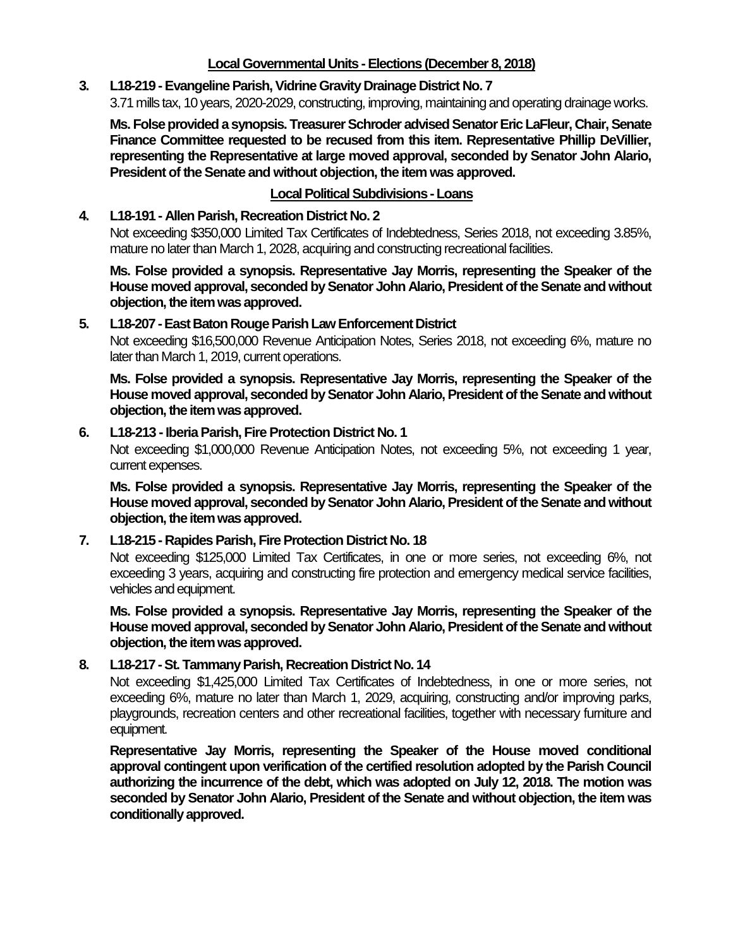# **Local Governmental Units -Elections (December 8, 2018)**

# **3. L18-219 -Evangeline Parish, Vidrine Gravity Drainage District No. 7**

3.71 mills tax, 10 years, 2020-2029, constructing, improving, maintaining and operating drainage works.

**Ms. Folse provided a synopsis. Treasurer Schroder advised Senator Eric LaFleur, Chair,Senate Finance Committee requested to be recused from this item. Representative Phillip DeVillier, representing the Representative at large moved approval, seconded by Senator John Alario, President of the Senate and without objection, the item was approved.**

# **Local Political Subdivisions -Loans**

### **4. L18-191 - Allen Parish, Recreation District No. 2**

Not exceeding \$350,000 Limited Tax Certificates of Indebtedness, Series 2018, not exceeding 3.85%, mature no later than March 1, 2028, acquiring and constructing recreational facilities.

**Ms. Folse provided a synopsis. Representative Jay Morris, representing the Speaker of the House moved approval, seconded by Senator John Alario, President of the Senate and without objection,the item was approved.**

#### **5. L18-207 -East Baton Rouge Parish Law Enforcement District**

Not exceeding \$16,500,000 Revenue Anticipation Notes, Series 2018, not exceeding 6%, mature no later than March 1, 2019, current operations.

**Ms. Folse provided a synopsis. Representative Jay Morris, representing the Speaker of the House moved approval, seconded by Senator John Alario, President of the Senate and without objection,the item was approved.**

#### **6. L18-213 -Iberia Parish, Fire Protection District No. 1**

Not exceeding \$1,000,000 Revenue Anticipation Notes, not exceeding 5%, not exceeding 1 year, current expenses.

**Ms. Folse provided a synopsis. Representative Jay Morris, representing the Speaker of the House moved approval, seconded by Senator John Alario, President of the Senate and without objection,the item was approved.**

### **7. L18-215 - Rapides Parish, Fire Protection District No. 18**

Not exceeding \$125,000 Limited Tax Certificates, in one or more series, not exceeding 6%, not exceeding 3 years, acquiring and constructing fire protection and emergency medical service facilities, vehicles and equipment.

**Ms. Folse provided a synopsis. Representative Jay Morris, representing the Speaker of the House moved approval, seconded by Senator John Alario, President of the Senate and without objection,the item was approved.**

### **8. L18-217 -St. Tammany Parish, Recreation District No. 14**

Not exceeding \$1,425,000 Limited Tax Certificates of Indebtedness, in one or more series, not exceeding 6%, mature no later than March 1, 2029, acquiring, constructing and/or improving parks, playgrounds, recreation centers and other recreational facilities, together with necessary furniture and equipment.

**Representative Jay Morris, representing the Speaker of the House moved conditional approval contingent upon verification of the certified resolution adopted by the Parish Council authorizing the incurrence of the debt, which was adopted on July 12, 2018. The motion was seconded by Senator John Alario, President of the Senate and without objection, the item was conditionally approved.**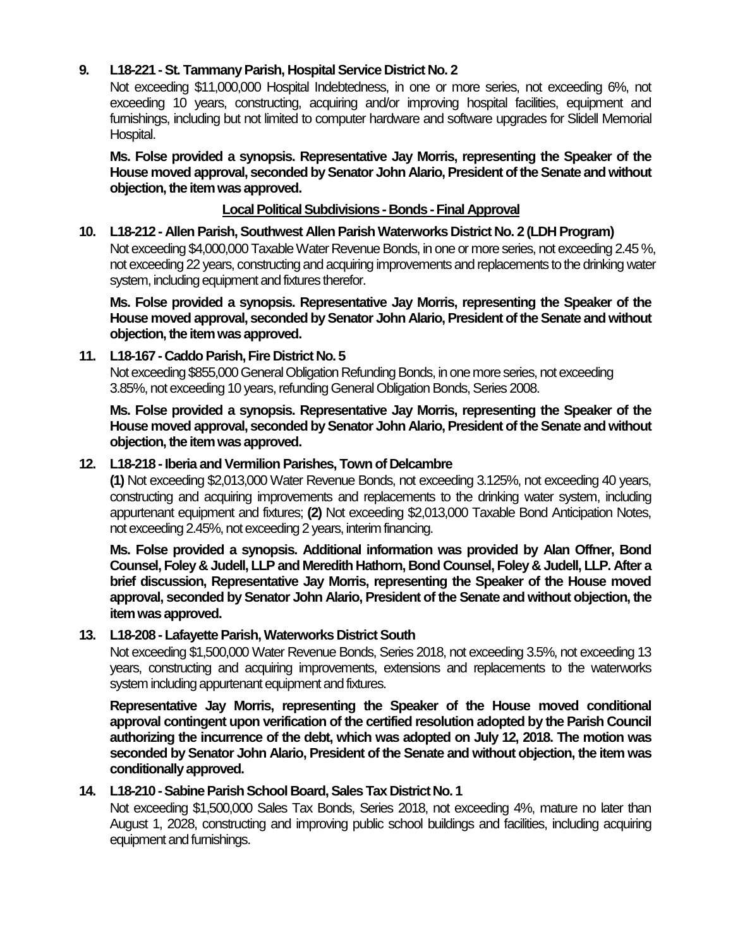# **9. L18-221 -St. Tammany Parish, Hospital Service District No. 2**

Not exceeding \$11,000,000 Hospital Indebtedness, in one or more series, not exceeding 6%, not exceeding 10 years, constructing, acquiring and/or improving hospital facilities, equipment and furnishings, including but not limited to computer hardware and software upgrades for Slidell Memorial Hospital.

**Ms. Folse provided a synopsis. Representative Jay Morris, representing the Speaker of the House moved approval, seconded by Senator John Alario, President of the Senate and without objection,the item was approved.**

#### **Local Political Subdivisions - Bonds -Final Approval**

**10. L18-212 - Allen Parish, Southwest Allen Parish Waterworks District No. 2 (LDH Program)** Not exceeding \$4,000,000 Taxable Water Revenue Bonds, in one or more series, not exceeding 2.45%, not exceeding 22 years, constructing and acquiring improvements and replacements to the drinking water system, including equipment and fixtures therefor.

**Ms. Folse provided a synopsis. Representative Jay Morris, representing the Speaker of the House moved approval, seconded by Senator John Alario, President of the Senate and without objection,the item was approved.**

#### **11. L18-167 - Caddo Parish, Fire District No. 5**

Not exceeding \$855,000 General Obligation Refunding Bonds, in one more series, not exceeding 3.85%, not exceeding 10 years, refunding General Obligation Bonds, Series 2008.

**Ms. Folse provided a synopsis. Representative Jay Morris, representing the Speaker of the House moved approval, seconded by Senator John Alario, President of the Senate and without objection,the item was approved.**

#### **12. L18-218 -Iberia and Vermilion Parishes, Town of Delcambre**

**(1)** Not exceeding \$2,013,000 Water Revenue Bonds, not exceeding 3.125%, not exceeding 40 years, constructing and acquiring improvements and replacements to the drinking water system, including appurtenant equipment and fixtures; **(2)** Not exceeding \$2,013,000 Taxable Bond Anticipation Notes, not exceeding 2.45%, not exceeding 2 years, interim financing.

**Ms. Folse provided a synopsis. Additional information was provided by Alan Offner, Bond Counsel, Foley & Judell, LLP and Meredith Hathorn, Bond Counsel, Foley & Judell, LLP. After a brief discussion, Representative Jay Morris, representing the Speaker of the House moved approval, seconded by Senator John Alario, President of the Senate and without objection, the item was approved.**

### **13. L18-208 - Lafayette Parish, Waterworks District South**

Not exceeding \$1,500,000 Water Revenue Bonds, Series 2018, not exceeding 3.5%, not exceeding 13 years, constructing and acquiring improvements, extensions and replacements to the waterworks system including appurtenant equipment and fixtures.

**Representative Jay Morris, representing the Speaker of the House moved conditional approval contingent upon verification of the certified resolution adopted by the Parish Council authorizing the incurrence of the debt, which was adopted on July 12, 2018. The motion was seconded by Senator John Alario, President of the Senate and without objection, the item was conditionally approved.**

### **14. L18-210 -Sabine Parish School Board, Sales Tax District No. 1**

Not exceeding \$1,500,000 Sales Tax Bonds, Series 2018, not exceeding 4%, mature no later than August 1, 2028, constructing and improving public school buildings and facilities, including acquiring equipment and furnishings.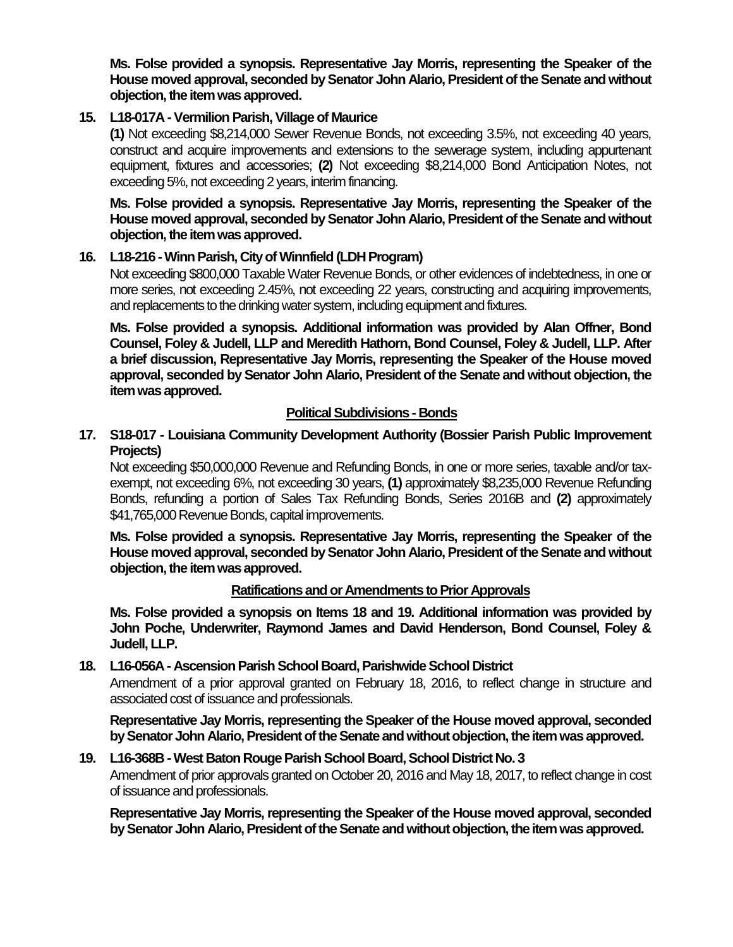**Ms. Folse provided a synopsis. Representative Jay Morris, representing the Speaker of the House moved approval, seconded by Senator John Alario, President of the Senate and without objection,the item was approved.**

# **15. L18-017A -Vermilion Parish, Village of Maurice**

**(1)** Not exceeding \$8,214,000 Sewer Revenue Bonds, not exceeding 3.5%, not exceeding 40 years, construct and acquire improvements and extensions to the sewerage system, including appurtenant equipment, fixtures and accessories; **(2)** Not exceeding \$8,214,000 Bond Anticipation Notes, not exceeding 5%, not exceeding 2 years, interim financing.

**Ms. Folse provided a synopsis. Representative Jay Morris, representing the Speaker of the House moved approval, seconded by Senator John Alario, President of the Senate and without objection,the item was approved.**

### **16. L18-216 -Winn Parish, City of Winnfield (LDH Program)**

Not exceeding \$800,000 Taxable Water Revenue Bonds, or other evidences of indebtedness, in one or more series, not exceeding 2.45%, not exceeding 22 years, constructing and acquiring improvements, and replacements to the drinking water system, including equipment and fixtures.

**Ms. Folse provided a synopsis. Additional information was provided by Alan Offner, Bond Counsel, Foley & Judell, LLP and Meredith Hathorn, Bond Counsel, Foley & Judell, LLP. After a brief discussion, Representative Jay Morris, representing the Speaker of the House moved approval, seconded by Senator John Alario, President of the Senate and without objection, the item was approved.**

# **Political Subdivisions - Bonds**

# **17. S18-017 - Louisiana Community Development Authority (Bossier Parish Public Improvement Projects)**

Not exceeding \$50,000,000 Revenue and Refunding Bonds, in one or more series, taxable and/or taxexempt, not exceeding 6%, not exceeding 30 years, **(1)** approximately \$8,235,000 Revenue Refunding Bonds, refunding a portion of Sales Tax Refunding Bonds, Series 2016B and **(2)** approximately \$41,765,000 Revenue Bonds, capital improvements.

**Ms. Folse provided a synopsis. Representative Jay Morris, representing the Speaker of the House moved approval, seconded by Senator John Alario, President of the Senate and without objection,the item was approved.**

### **Ratifications and or Amendments to Prior Approvals**

**Ms. Folse provided a synopsis on Items 18 and 19. Additional information was provided by John Poche, Underwriter, Raymond James and David Henderson, Bond Counsel, Foley & Judell, LLP.** 

### **18. L16-056A - Ascension Parish School Board, Parishwide School District**

Amendment of a prior approval granted on February 18, 2016, to reflect change in structure and associated cost of issuance and professionals.

**Representative Jay Morris, representing the Speaker of the House moved approval, seconded**  by Senator John Alario, President of the Senate and without objection, the item was approved.

### **19. L16-368B -West Baton Rouge Parish School Board, School District No. 3**

Amendment of prior approvals granted on October 20, 2016 and May 18, 2017, to reflect change in cost of issuance and professionals.

**Representative Jay Morris, representing the Speaker of the House moved approval, seconded**  by Senator John Alario, President of the Senate and without objection, the item was approved.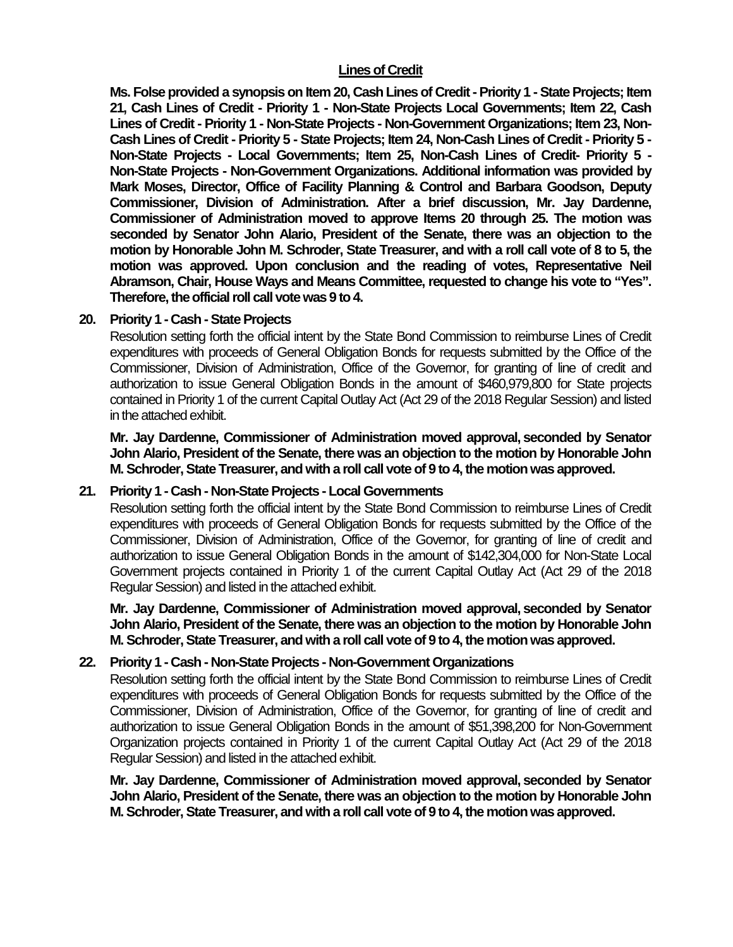### **Lines of Credit**

**Ms. Folse provided a synopsis on Item 20, Cash Lines of Credit -Priority 1 -State Projects; Item 21, Cash Lines of Credit - Priority 1 - Non-State Projects Local Governments; Item 22, Cash Lines of Credit - Priority 1 - Non-State Projects - Non-Government Organizations; Item 23, Non-Cash Lines of Credit - Priority 5 - State Projects; Item 24, Non-Cash Lines of Credit - Priority 5 - Non-State Projects - Local Governments; Item 25, Non-Cash Lines of Credit- Priority 5 - Non-State Projects - Non-Government Organizations. Additional information was provided by Mark Moses, Director, Office of Facility Planning & Control and Barbara Goodson, Deputy Commissioner, Division of Administration. After a brief discussion, Mr. Jay Dardenne, Commissioner of Administration moved to approve Items 20 through 25. The motion was seconded by Senator John Alario, President of the Senate, there was an objection to the motion by Honorable John M. Schroder, State Treasurer, and with a roll call vote of 8 to 5, the motion was approved. Upon conclusion and the reading of votes, Representative Neil Abramson, Chair, House Ways and Means Committee, requested to change his vote to "Yes". Therefore, the official roll call vote was 9 to 4.**

#### **20. Priority 1 - Cash -State Projects**

Resolution setting forth the official intent by the State Bond Commission to reimburse Lines of Credit expenditures with proceeds of General Obligation Bonds for requests submitted by the Office of the Commissioner, Division of Administration, Office of the Governor, for granting of line of credit and authorization to issue General Obligation Bonds in the amount of \$460,979,800 for State projects contained in Priority 1 of the current Capital Outlay Act (Act 29 of the 2018 Regular Session) and listed in the attached exhibit.

**Mr. Jay Dardenne, Commissioner of Administration moved approval, seconded by Senator John Alario, President of the Senate, there was an objection to the motion by Honorable John M. Schroder, State Treasurer, and with a roll call vote of 9 to 4, the motion was approved.**

### **21. Priority 1 - Cash - Non-State Projects - Local Governments**

Resolution setting forth the official intent by the State Bond Commission to reimburse Lines of Credit expenditures with proceeds of General Obligation Bonds for requests submitted by the Office of the Commissioner, Division of Administration, Office of the Governor, for granting of line of credit and authorization to issue General Obligation Bonds in the amount of \$142,304,000 for Non-State Local Government projects contained in Priority 1 of the current Capital Outlay Act (Act 29 of the 2018 Regular Session) and listed in the attached exhibit.

**Mr. Jay Dardenne, Commissioner of Administration moved approval, seconded by Senator John Alario, President of the Senate, there was an objection to the motion by Honorable John M. Schroder, State Treasurer, and with a roll call vote of 9 to 4, the motion was approved.**

### **22. Priority 1 - Cash - Non-State Projects - Non-Government Organizations**

Resolution setting forth the official intent by the State Bond Commission to reimburse Lines of Credit expenditures with proceeds of General Obligation Bonds for requests submitted by the Office of the Commissioner, Division of Administration, Office of the Governor, for granting of line of credit and authorization to issue General Obligation Bonds in the amount of \$51,398,200 for Non-Government Organization projects contained in Priority 1 of the current Capital Outlay Act (Act 29 of the 2018 Regular Session) and listed in the attached exhibit.

**Mr. Jay Dardenne, Commissioner of Administration moved approval, seconded by Senator John Alario, President of the Senate, there was an objection to the motion by Honorable John M. Schroder, State Treasurer, and with a roll call vote of 9 to 4, the motion was approved.**